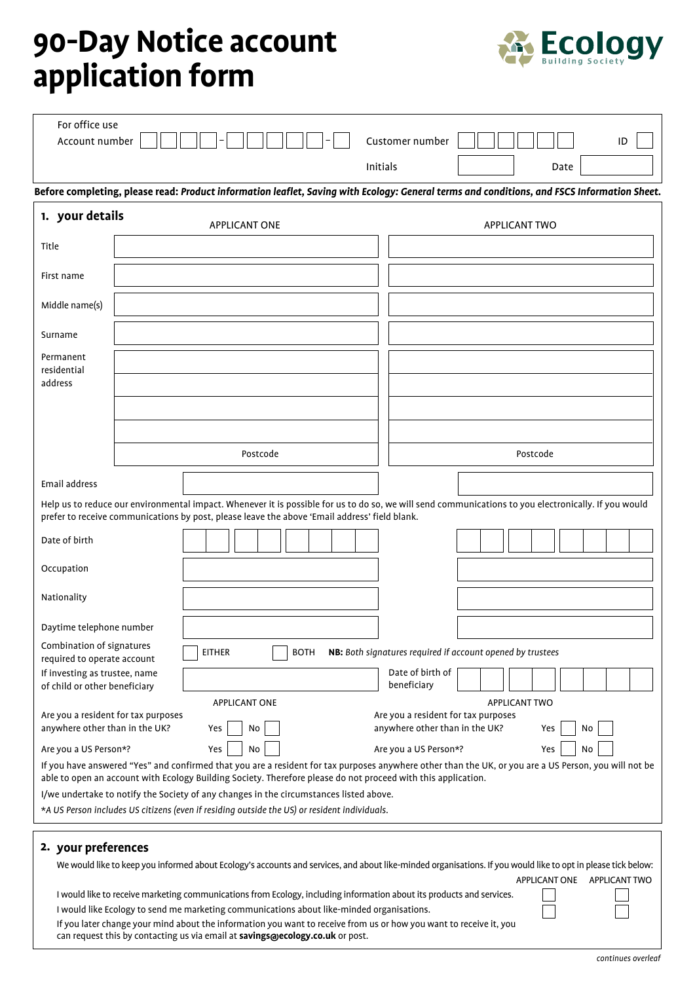## **90-Day Notice account application form**



| For office use<br>Account number                                                                                                                                                                                                                                       |  |                                                                                                                                                                                                                                                                                                                                                                                                                           |          |  | Customer number                                            |  |                      |      |    | ID |
|------------------------------------------------------------------------------------------------------------------------------------------------------------------------------------------------------------------------------------------------------------------------|--|---------------------------------------------------------------------------------------------------------------------------------------------------------------------------------------------------------------------------------------------------------------------------------------------------------------------------------------------------------------------------------------------------------------------------|----------|--|------------------------------------------------------------|--|----------------------|------|----|----|
|                                                                                                                                                                                                                                                                        |  |                                                                                                                                                                                                                                                                                                                                                                                                                           | Initials |  |                                                            |  |                      | Date |    |    |
|                                                                                                                                                                                                                                                                        |  | Before completing, please read: Product information leaflet, Saving with Ecology: General terms and conditions, and FSCS Information Sheet.                                                                                                                                                                                                                                                                               |          |  |                                                            |  |                      |      |    |    |
| 1. your details                                                                                                                                                                                                                                                        |  | <b>APPLICANT ONE</b>                                                                                                                                                                                                                                                                                                                                                                                                      |          |  |                                                            |  | <b>APPLICANT TWO</b> |      |    |    |
| Title                                                                                                                                                                                                                                                                  |  |                                                                                                                                                                                                                                                                                                                                                                                                                           |          |  |                                                            |  |                      |      |    |    |
| First name                                                                                                                                                                                                                                                             |  |                                                                                                                                                                                                                                                                                                                                                                                                                           |          |  |                                                            |  |                      |      |    |    |
| Middle name(s)                                                                                                                                                                                                                                                         |  |                                                                                                                                                                                                                                                                                                                                                                                                                           |          |  |                                                            |  |                      |      |    |    |
| Surname                                                                                                                                                                                                                                                                |  |                                                                                                                                                                                                                                                                                                                                                                                                                           |          |  |                                                            |  |                      |      |    |    |
| Permanent<br>residential<br>address                                                                                                                                                                                                                                    |  |                                                                                                                                                                                                                                                                                                                                                                                                                           |          |  |                                                            |  |                      |      |    |    |
|                                                                                                                                                                                                                                                                        |  | Postcode                                                                                                                                                                                                                                                                                                                                                                                                                  |          |  |                                                            |  | Postcode             |      |    |    |
|                                                                                                                                                                                                                                                                        |  |                                                                                                                                                                                                                                                                                                                                                                                                                           |          |  |                                                            |  |                      |      |    |    |
| Email address<br>Help us to reduce our environmental impact. Whenever it is possible for us to do so, we will send communications to you electronically. If you would<br>prefer to receive communications by post, please leave the above 'Email address' field blank. |  |                                                                                                                                                                                                                                                                                                                                                                                                                           |          |  |                                                            |  |                      |      |    |    |
| Date of birth                                                                                                                                                                                                                                                          |  |                                                                                                                                                                                                                                                                                                                                                                                                                           |          |  |                                                            |  |                      |      |    |    |
| Occupation                                                                                                                                                                                                                                                             |  |                                                                                                                                                                                                                                                                                                                                                                                                                           |          |  |                                                            |  |                      |      |    |    |
| Nationality                                                                                                                                                                                                                                                            |  |                                                                                                                                                                                                                                                                                                                                                                                                                           |          |  |                                                            |  |                      |      |    |    |
| Daytime telephone number                                                                                                                                                                                                                                               |  |                                                                                                                                                                                                                                                                                                                                                                                                                           |          |  |                                                            |  |                      |      |    |    |
| Combination of signatures<br>required to operate account                                                                                                                                                                                                               |  | <b>EITHER</b><br><b>BOTH</b>                                                                                                                                                                                                                                                                                                                                                                                              |          |  | NB: Both signatures required if account opened by trustees |  |                      |      |    |    |
| If investing as trustee, name<br>of child or other beneficiary                                                                                                                                                                                                         |  |                                                                                                                                                                                                                                                                                                                                                                                                                           |          |  | Date of birth of<br>beneficiary                            |  |                      |      |    |    |
| <b>APPLICANT TWO</b><br><b>APPLICANT ONE</b><br>Are you a resident for tax purposes<br>Are you a resident for tax purposes<br>anywhere other than in the UK?<br>anywhere other than in the UK?<br>Yes<br>No<br>Yes<br>No                                               |  |                                                                                                                                                                                                                                                                                                                                                                                                                           |          |  |                                                            |  |                      |      |    |    |
| Are you a US Person*?                                                                                                                                                                                                                                                  |  | Yes<br>No                                                                                                                                                                                                                                                                                                                                                                                                                 |          |  | Are you a US Person*?                                      |  |                      | Yes  | No |    |
|                                                                                                                                                                                                                                                                        |  | If you have answered "Yes" and confirmed that you are a resident for tax purposes anywhere other than the UK, or you are a US Person, you will not be<br>able to open an account with Ecology Building Society. Therefore please do not proceed with this application.                                                                                                                                                    |          |  |                                                            |  |                      |      |    |    |
|                                                                                                                                                                                                                                                                        |  | I/we undertake to notify the Society of any changes in the circumstances listed above.                                                                                                                                                                                                                                                                                                                                    |          |  |                                                            |  |                      |      |    |    |
|                                                                                                                                                                                                                                                                        |  | *A US Person includes US citizens (even if residing outside the US) or resident individuals.                                                                                                                                                                                                                                                                                                                              |          |  |                                                            |  |                      |      |    |    |
| 2. your preferences                                                                                                                                                                                                                                                    |  |                                                                                                                                                                                                                                                                                                                                                                                                                           |          |  |                                                            |  |                      |      |    |    |
| We would like to keep you informed about Ecology's accounts and services, and about like-minded organisations. If you would like to opt in please tick below:<br>APPLICANT ONE APPLICANT TWO                                                                           |  |                                                                                                                                                                                                                                                                                                                                                                                                                           |          |  |                                                            |  |                      |      |    |    |
|                                                                                                                                                                                                                                                                        |  | I would like to receive marketing communications from Ecology, including information about its products and services.<br>I would like Ecology to send me marketing communications about like-minded organisations.<br>If you later change your mind about the information you want to receive from us or how you want to receive it, you<br>can request this by contacting us via email at savings@ecology.co.uk or post. |          |  |                                                            |  |                      |      |    |    |
|                                                                                                                                                                                                                                                                        |  |                                                                                                                                                                                                                                                                                                                                                                                                                           |          |  |                                                            |  |                      |      |    |    |